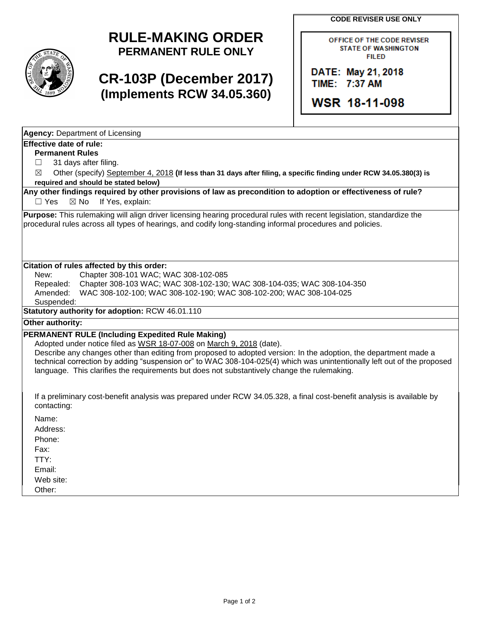**CODE REVISER USE ONLY**

## **RULE-MAKING ORDER PERMANENT RULE ONLY**

# **CR-103P (December 2017) (Implements RCW 34.05.360)**

OFFICE OF THE CODE REVISER **STATE OF WASHINGTON FILED** 

DATE: May 21, 2018 TIME: 7:37 AM

WSR 18-11-098

| <b>Permanent Rules</b>                                                                                                                                                                                                                     |
|--------------------------------------------------------------------------------------------------------------------------------------------------------------------------------------------------------------------------------------------|
| 31 days after filing.                                                                                                                                                                                                                      |
| Other (specify) September 4, 2018 (If less than 31 days after filing, a specific finding under RCW 34.05.380(3) is<br>$\bowtie$                                                                                                            |
| required and should be stated below)                                                                                                                                                                                                       |
| Any other findings required by other provisions of law as precondition to adoption or effectiveness of rule?                                                                                                                               |
| $\boxtimes$ No If Yes, explain:<br>$\Box$ Yes                                                                                                                                                                                              |
| <b>Purpose:</b> This rulemaking will align driver licensing hearing procedural rules with recent legislation, standardize the<br>procedural rules across all types of hearings, and codify long-standing informal procedures and policies. |

#### **Citation of rules affected by this order:**

**Agency:** Department of Licensing

**Effective date of rule:**

New: Chapter 308-101 WAC; WAC 308-102-085 Repealed: Chapter 308-103 WAC; WAC 308-102-130; WAC 308-104-035; WAC 308-104-350 Amended: WAC 308-102-100; WAC 308-102-190; WAC 308-102-200; WAC 308-104-025 Suspended:

**Statutory authority for adoption:** RCW 46.01.110

## **Other authority:**

## **PERMANENT RULE (Including Expedited Rule Making)**

Adopted under notice filed as WSR 18-07-008 on March 9, 2018 (date).

Describe any changes other than editing from proposed to adopted version: In the adoption, the department made a technical correction by adding "suspension or" to WAC 308-104-025(4) which was unintentionally left out of the proposed language. This clarifies the requirements but does not substantively change the rulemaking.

If a preliminary cost-benefit analysis was prepared under RCW 34.05.328, a final cost-benefit analysis is available by contacting:

Name:

Address:

Phone:

Fax:

TTY: Email:

Web site:

Other: